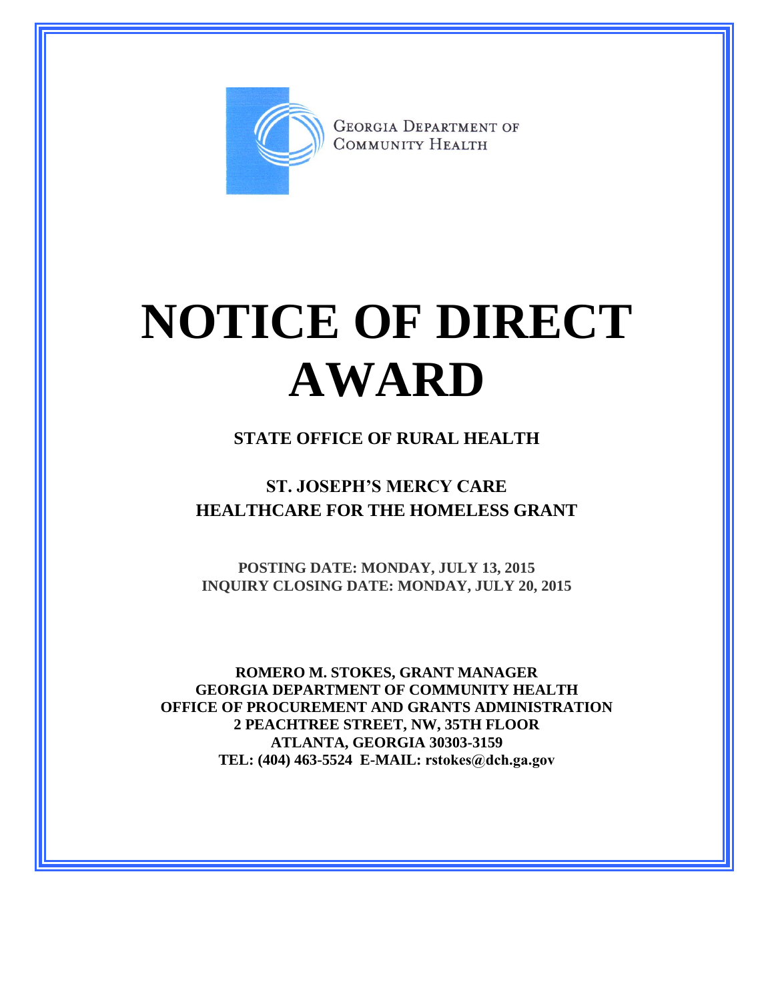

**GEORGIA DEPARTMENT OF** COMMUNITY HEALTH

## **NOTICE OF DIRECT AWARD**

## **STATE OFFICE OF RURAL HEALTH**

## **ST. JOSEPH'S MERCY CARE HEALTHCARE FOR THE HOMELESS GRANT**

**POSTING DATE: MONDAY, JULY 13, 2015 INQUIRY CLOSING DATE: MONDAY, JULY 20, 2015**

**ROMERO M. STOKES, GRANT MANAGER GEORGIA DEPARTMENT OF COMMUNITY HEALTH OFFICE OF PROCUREMENT AND GRANTS ADMINISTRATION 2 PEACHTREE STREET, NW, 35TH FLOOR ATLANTA, GEORGIA 30303-3159 TEL: (404) 463-5524 E-MAIL: rstokes@dch.ga.gov**